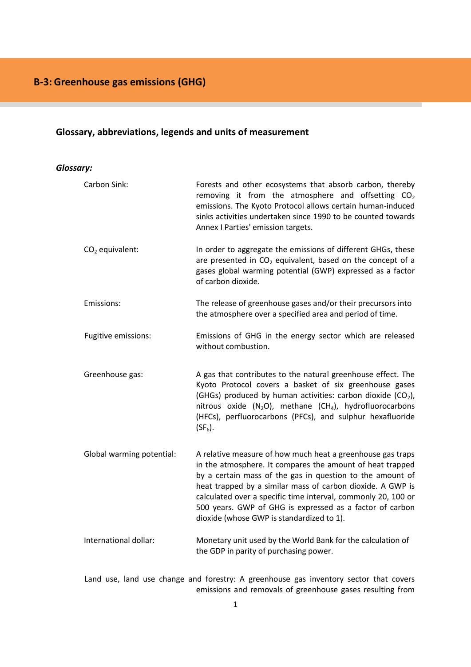# <span id="page-0-1"></span>**[Glossary,](#page-0-0) [abbreviations,](#page-1-0) [legends](#page-1-1) and [units of measurement](#page-1-2)**

### <span id="page-0-0"></span>*[Glossary:](#page-0-1)*

| Carbon Sink:              | Forests and other ecosystems that absorb carbon, thereby<br>removing it from the atmosphere and offsetting $CO2$<br>emissions. The Kyoto Protocol allows certain human-induced<br>sinks activities undertaken since 1990 to be counted towards<br>Annex I Parties' emission targets.                                                                                                                                         |
|---------------------------|------------------------------------------------------------------------------------------------------------------------------------------------------------------------------------------------------------------------------------------------------------------------------------------------------------------------------------------------------------------------------------------------------------------------------|
| $CO2$ equivalent:         | In order to aggregate the emissions of different GHGs, these<br>are presented in $CO2$ equivalent, based on the concept of a<br>gases global warming potential (GWP) expressed as a factor<br>of carbon dioxide.                                                                                                                                                                                                             |
| Emissions:                | The release of greenhouse gases and/or their precursors into<br>the atmosphere over a specified area and period of time.                                                                                                                                                                                                                                                                                                     |
| Fugitive emissions:       | Emissions of GHG in the energy sector which are released<br>without combustion.                                                                                                                                                                                                                                                                                                                                              |
| Greenhouse gas:           | A gas that contributes to the natural greenhouse effect. The<br>Kyoto Protocol covers a basket of six greenhouse gases<br>(GHGs) produced by human activities: carbon dioxide (CO <sub>2</sub> ),<br>nitrous oxide $(N_2O)$ , methane $(CH_4)$ , hydrofluorocarbons<br>(HFCs), perfluorocarbons (PFCs), and sulphur hexafluoride<br>$(SF_6)$ .                                                                               |
| Global warming potential: | A relative measure of how much heat a greenhouse gas traps<br>in the atmosphere. It compares the amount of heat trapped<br>by a certain mass of the gas in question to the amount of<br>heat trapped by a similar mass of carbon dioxide. A GWP is<br>calculated over a specific time interval, commonly 20, 100 or<br>500 years. GWP of GHG is expressed as a factor of carbon<br>dioxide (whose GWP is standardized to 1). |
| International dollar:     | Monetary unit used by the World Bank for the calculation of<br>the GDP in parity of purchasing power.                                                                                                                                                                                                                                                                                                                        |

Land use, land use change and forestry: A greenhouse gas inventory sector that covers emissions and removals of greenhouse gases resulting from